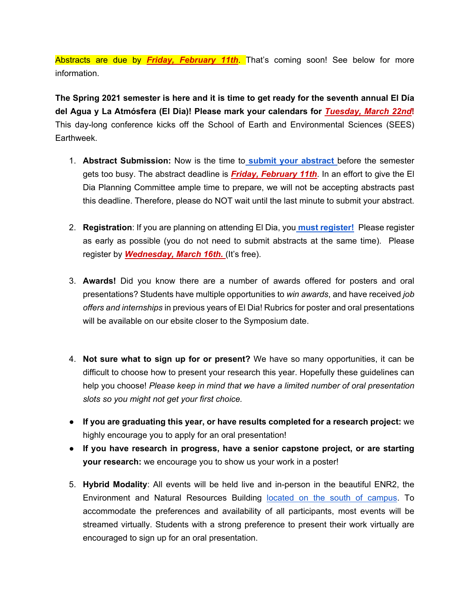Abstracts are due by *Friday, February 11th*. That's coming soon! See below for more information.

**The Spring 2021 semester is here and it is time to get ready for the seventh annual El Día del Agua y La Atmósfera (El Dia)! Please mark your calendars for** *Tuesday, March 22nd***!** This day-long conference kicks off the School of Earth and Environmental Sciences (SEES) Earthweek.

- 1. **Abstract Submission:** Now is the time t[o](https://docs.google.com/forms/d/e/1FAIpQLSdhNkiQ3n-U-YBYfs2Hp2hWtfIDLZC_XKmHDBt5Q3ya0T1WIA/viewform?usp=sf_link) **[submit your abstract](https://docs.google.com/forms/d/e/1FAIpQLSdhNkiQ3n-U-YBYfs2Hp2hWtfIDLZC_XKmHDBt5Q3ya0T1WIA/viewform?usp=sf_link)** before the semester gets too busy. The abstract deadline is *Friday, February 11th*. In an effort to give the El Dia Planning Committee ample time to prepare, we will not be accepting abstracts past this deadline. Therefore, please do NOT wait until the last minute to submit your abstract.
- 2. **Registration**: If you are planning on attending El Dia, yo[u](https://docs.google.com/forms/d/e/1FAIpQLSepZuYdTK7zlqa_hY1BpnC7Qpu9VsZT2Kp3joJGNkPSjMyYng/viewform?usp=sf_link) **[must register!](https://docs.google.com/forms/d/e/1FAIpQLSepZuYdTK7zlqa_hY1BpnC7Qpu9VsZT2Kp3joJGNkPSjMyYng/viewform?usp=sf_link)** Please register as early as possible (you do not need to submit abstracts at the same time). Please register by *Wednesday, March 16th.* (It's free).
- 3. **Awards!** Did you know there are a number of awards offered for posters and oral presentations? Students have multiple opportunities to *win awards*, and have received *job offers and internships* in previous years of El Dia! Rubrics for poster and oral presentations will be available on our ebsite closer to the Symposium date.
- 4. **Not sure what to sign up for or present?** We have so many opportunities, it can be difficult to choose how to present your research this year. Hopefully these guidelines can help you choose! *Please keep in mind that we have a limited number of oral presentation slots so you might not get your first choice.*
- **If you are graduating this year, or have results completed for a research project:** we highly encourage you to apply for an oral presentation!
- **If you have research in progress, have a senior capstone project, or are starting your research:** we encourage you to show us your work in a poster!
- 5. **Hybrid Modality**: All events will be held live and in-person in the beautiful ENR2, the Environment and Natural Resources Building [located on the south of campus.](https://goo.gl/maps/e2neBctE829cRewC6) To accommodate the preferences and availability of all participants, most events will be streamed virtually. Students with a strong preference to present their work virtually are encouraged to sign up for an oral presentation.